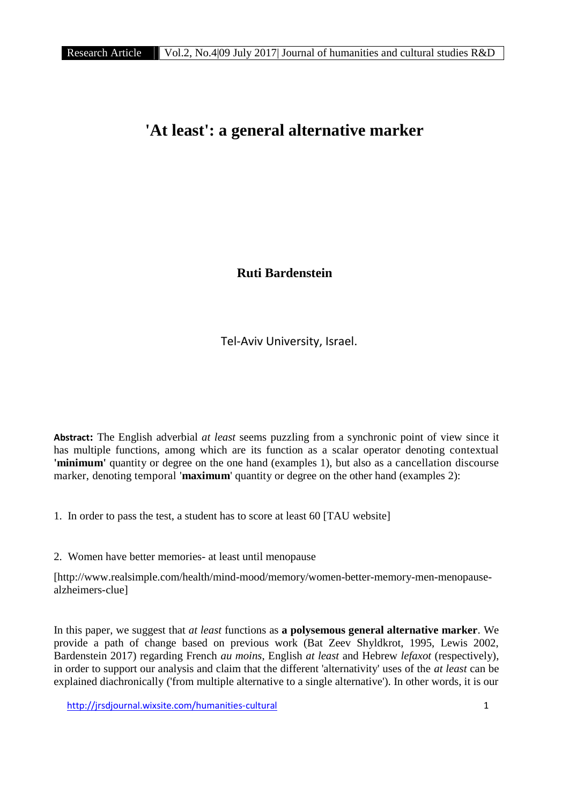# **'At least': a general alternative marker**

**Ruti Bardenstein**

Tel-Aviv University, Israel.

**Abstract:** The English adverbial *at least* seems puzzling from a synchronic point of view since it has multiple functions, among which are its function as a scalar operator denoting contextual **'minimum'** quantity or degree on the one hand (examples 1), but also as a cancellation discourse marker, denoting temporal '**maximum**' quantity or degree on the other hand (examples 2):

- 1. In order to pass the test, a student has to score at least 60 [TAU website]
- 2. Women have better memories- at least until menopause

[http://www.realsimple.com/health/mind-mood/memory/women-better-memory-men-menopause alzheimers-clue]

In this paper, we suggest that *at least* functions as **a polysemous general alternative marker**. We provide a path of change based on previous work (Bat Zeev Shyldkrot, 1995, Lewis 2002, Bardenstein 2017) regarding French *au moins*, English *at least* and Hebrew *lefaxot* (respectively), in order to support our analysis and claim that the different 'alternativity' uses of the *at least* can be explained diachronically ('from multiple alternative to a single alternative'). In other words, it is our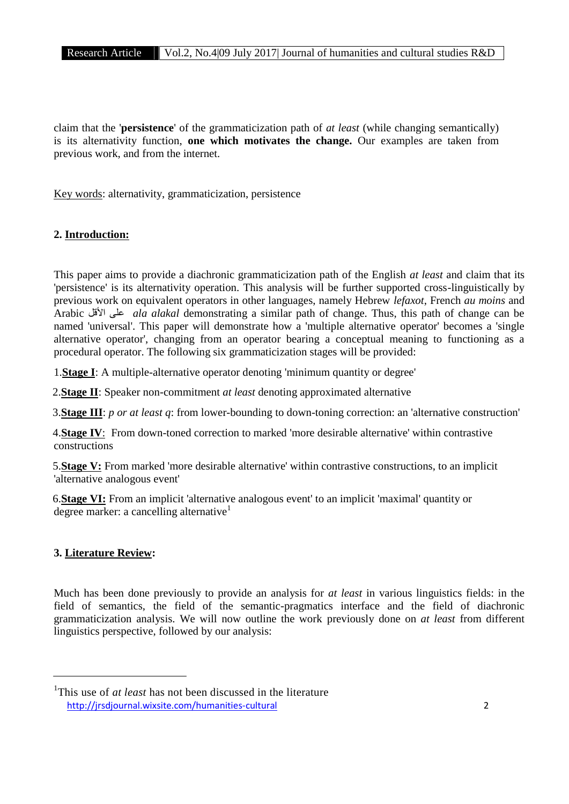claim that the '**persistence**' of the grammaticization path of *at least* (while changing semantically) is its alternativity function, **one which motivates the change.** Our examples are taken from previous work, and from the internet.

Key words: alternativity, grammaticization, persistence

## **2. Introduction:**

This paper aims to provide a diachronic grammaticization path of the English *at least* and claim that its 'persistence' is its alternativity operation. This analysis will be further supported cross-linguistically by previous work on equivalent operators in other languages, namely Hebrew *lefaxot*, French *au moins* and Arabic الأقل على *ala alakal* demonstrating a similar path of change. Thus, this path of change can be named 'universal'. This paper will demonstrate how a 'multiple alternative operator' becomes a 'single alternative operator', changing from an operator bearing a conceptual meaning to functioning as a procedural operator. The following six grammaticization stages will be provided:

1.**Stage I**: A multiple-alternative operator denoting 'minimum quantity or degree'

2.**Stage II**: Speaker non-commitment *at least* denoting approximated alternative

3.**Stage III**: *p or at least q*: from lower-bounding to down-toning correction: an 'alternative construction'

4.**Stage IV**: From down-toned correction to marked 'more desirable alternative' within contrastive constructions

5.**Stage V:** From marked 'more desirable alternative' within contrastive constructions, to an implicit 'alternative analogous event'

6.**Stage VI:** From an implicit 'alternative analogous event' to an implicit 'maximal' quantity or degree marker: a cancelling alternative<sup>1</sup>

## **3. Literature Review:**

Much has been done previously to provide an analysis for *at least* in various linguistics fields: in the field of semantics, the field of the semantic-pragmatics interface and the field of diachronic grammaticization analysis. We will now outline the work previously done on *at least* from different linguistics perspective, followed by our analysis:

http://jrsdjournal.wixsite.com/humanities-cultural 2 <sup>1</sup>This use of *at least* has not been discussed in the literature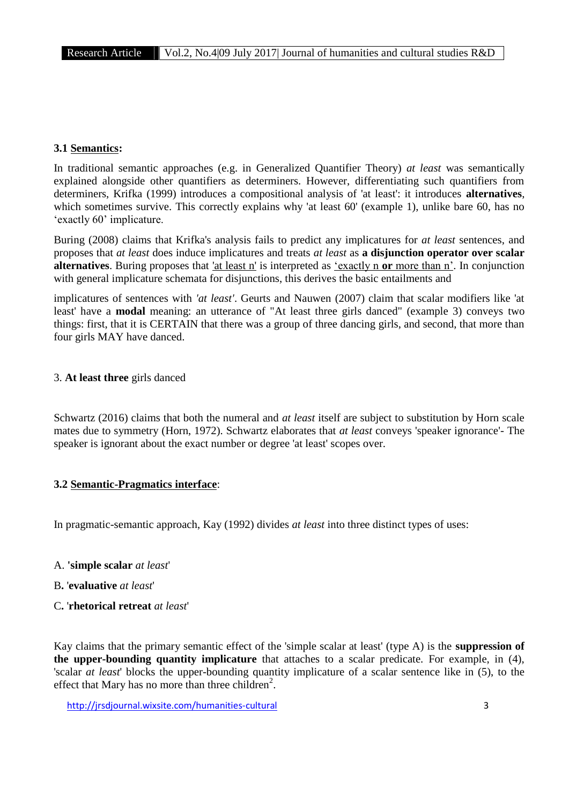# **3.1 Semantics:**

In traditional semantic approaches (e.g. in Generalized Quantifier Theory) *at least* was semantically explained alongside other quantifiers as determiners. However, differentiating such quantifiers from determiners, Krifka (1999) introduces a compositional analysis of 'at least': it introduces **alternatives**, which sometimes survive. This correctly explains why 'at least 60' (example 1), unlike bare 60, has no 'exactly 60' implicature.

Buring (2008) claims that Krifka's analysis fails to predict any implicatures for *at least* sentences, and proposes that *at least* does induce implicatures and treats *at least* as **a disjunction operator over scalar alternatives**. Buring proposes that 'at least n' is interpreted as 'exactly n **or** more than n'. In conjunction with general implicature schemata for disjunctions, this derives the basic entailments and

implicatures of sentences with *'at least'*. Geurts and Nauwen (2007) claim that scalar modifiers like 'at least' have a **modal** meaning: an utterance of "At least three girls danced" (example 3) conveys two things: first, that it is CERTAIN that there was a group of three dancing girls, and second, that more than four girls MAY have danced.

## 3. **At least three** girls danced

Schwartz (2016) claims that both the numeral and *at least* itself are subject to substitution by Horn scale mates due to symmetry (Horn, 1972). Schwartz elaborates that *at least* conveys 'speaker ignorance'- The speaker is ignorant about the exact number or degree 'at least' scopes over.

# **3.2 Semantic-Pragmatics interface**:

In pragmatic-semantic approach, Kay (1992) divides *at least* into three distinct types of uses:

- A. **'simple scalar** *at least*'
- B**.** '**evaluative** *at least*'
- C**.** '**rhetorical retreat** *at least*'

Kay claims that the primary semantic effect of the 'simple scalar at least' (type A) is the **suppression of the upper-bounding quantity implicature** that attaches to a scalar predicate. For example, in (4), 'scalar *at least*' blocks the upper-bounding quantity implicature of a scalar sentence like in (5), to the effect that Mary has no more than three children<sup>2</sup>.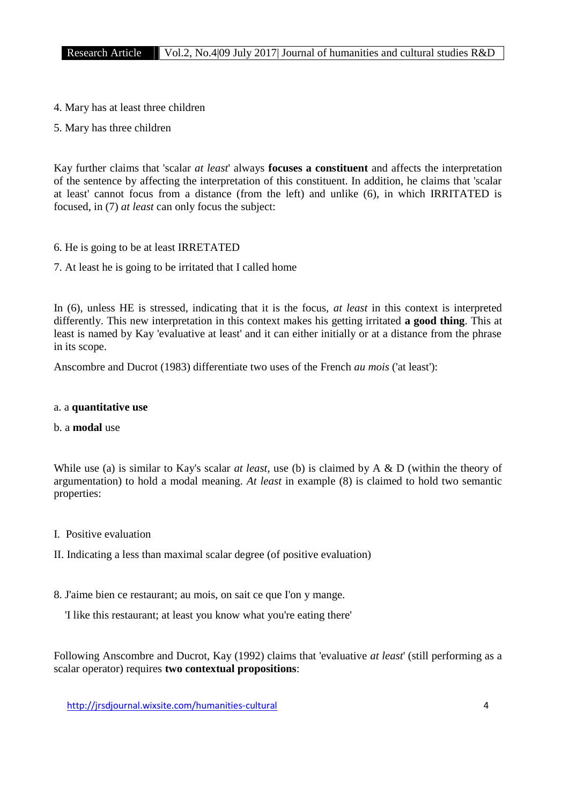- 4. Mary has at least three children
- 5. Mary has three children

Kay further claims that 'scalar *at least*' always **focuses a constituent** and affects the interpretation of the sentence by affecting the interpretation of this constituent. In addition, he claims that 'scalar at least' cannot focus from a distance (from the left) and unlike (6), in which IRRITATED is focused, in (7) *at least* can only focus the subject:

- 6. He is going to be at least IRRETATED
- 7. At least he is going to be irritated that I called home

In (6), unless HE is stressed, indicating that it is the focus, *at least* in this context is interpreted differently. This new interpretation in this context makes his getting irritated **a good thing**. This at least is named by Kay 'evaluative at least' and it can either initially or at a distance from the phrase in its scope.

Anscombre and Ducrot (1983) differentiate two uses of the French *au mois* ('at least'):

## a. a **quantitative use**

## b. a **modal** use

While use (a) is similar to Kay's scalar *at least*, use (b) is claimed by A & D (within the theory of argumentation) to hold a modal meaning. *At least* in example (8) is claimed to hold two semantic properties:

- I. Positive evaluation
- II. Indicating a less than maximal scalar degree (of positive evaluation)
- 8. J'aime bien ce restaurant; au mois, on sait ce que I'on y mange.
	- 'I like this restaurant; at least you know what you're eating there'

Following Anscombre and Ducrot, Kay (1992) claims that 'evaluative *at least*' (still performing as a scalar operator) requires **two contextual propositions**: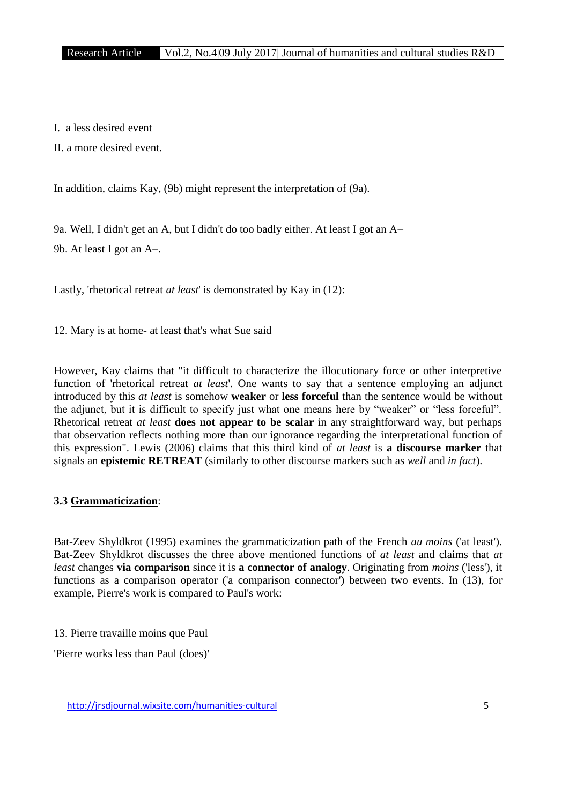I. a less desired event

II. a more desired event.

In addition, claims Kay, (9b) might represent the interpretation of (9a).

9a. Well, I didn't get an A, but I didn't do too badly either. At least I got an A**–**

9b. At least I got an A**–**.

Lastly, 'rhetorical retreat *at least*' is demonstrated by Kay in (12):

12. Mary is at home- at least that's what Sue said

However, Kay claims that "it difficult to characterize the illocutionary force or other interpretive function of 'rhetorical retreat *at least*'. One wants to say that a sentence employing an adjunct introduced by this *at least* is somehow **weaker** or **less forceful** than the sentence would be without the adjunct, but it is difficult to specify just what one means here by "weaker" or "less forceful". Rhetorical retreat *at least* **does not appear to be scalar** in any straightforward way, but perhaps that observation reflects nothing more than our ignorance regarding the interpretational function of this expression". Lewis (2006) claims that this third kind of *at least* is **a discourse marker** that signals an **epistemic RETREAT** (similarly to other discourse markers such as *well* and *in fact*).

# **3.3 Grammaticization**:

Bat-Zeev Shyldkrot (1995) examines the grammaticization path of the French *au moins* ('at least'). Bat-Zeev Shyldkrot discusses the three above mentioned functions of *at least* and claims that *at least* changes **via comparison** since it is **a connector of analogy**. Originating from *moins* ('less'), it functions as a comparison operator ('a comparison connector') between two events. In (13), for example, Pierre's work is compared to Paul's work:

13. Pierre travaille moins que Paul

'Pierre works less than Paul (does)'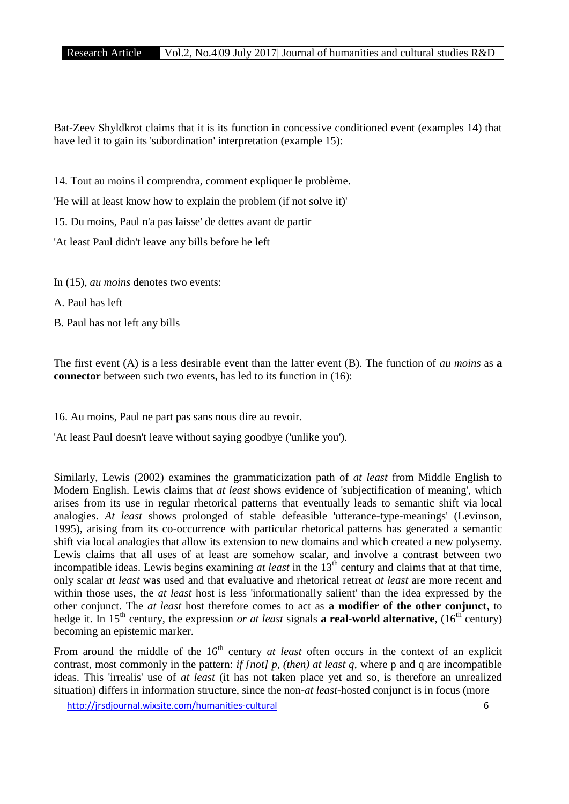Bat-Zeev Shyldkrot claims that it is its function in concessive conditioned event (examples 14) that have led it to gain its 'subordination' interpretation (example 15):

14. Tout au moins il comprendra, comment expliquer le problème.

'He will at least know how to explain the problem (if not solve it)'

15. Du moins, Paul n'a pas laisse' de dettes avant de partir

'At least Paul didn't leave any bills before he left

In (15), *au moins* denotes two events:

A. Paul has left

B. Paul has not left any bills

The first event (A) is a less desirable event than the latter event (B). The function of *au moins* as **a connector** between such two events, has led to its function in (16):

16. Au moins, Paul ne part pas sans nous dire au revoir.

'At least Paul doesn't leave without saying goodbye ('unlike you').

Similarly, Lewis (2002) examines the grammaticization path of*at least* from Middle English to Modern English. Lewis claims that *at least* shows evidence of 'subjectification of meaning', which arises from its use in regular rhetorical patterns that eventually leads to semantic shift via local analogies. *At least* shows prolonged of stable defeasible 'utterance-type-meanings' (Levinson, 1995), arising from its co-occurrence with particular rhetorical patterns has generated a semantic shift via local analogies that allow its extension to new domains and which created a new polysemy. Lewis claims that all uses of at least are somehow scalar, and involve a contrast between two incompatible ideas. Lewis begins examining *at least* in the 13<sup>th</sup> century and claims that at that time, only scalar *at least* was used and that evaluative and rhetorical retreat *at least* are more recent and within those uses, the *at least* host is less 'informationally salient' than the idea expressed by the other conjunct. The *at least* host therefore comes to act as **a modifier of the other conjunct**, to hedge it. In 15<sup>th</sup> century, the expression *or at least* signals **a real-world alternative**, (16<sup>th</sup> century) becoming an epistemic marker.

From around the middle of the 16<sup>th</sup> century *at least* often occurs in the context of an explicit contrast, most commonly in the pattern: *if [not] p, (then) at least q,* where p and q are incompatible ideas. This 'irrealis' use of *at least* (it has not taken place yet and so, is therefore an unrealized situation) differs in information structure, since the non-*at least*-hosted conjunct is in focus (more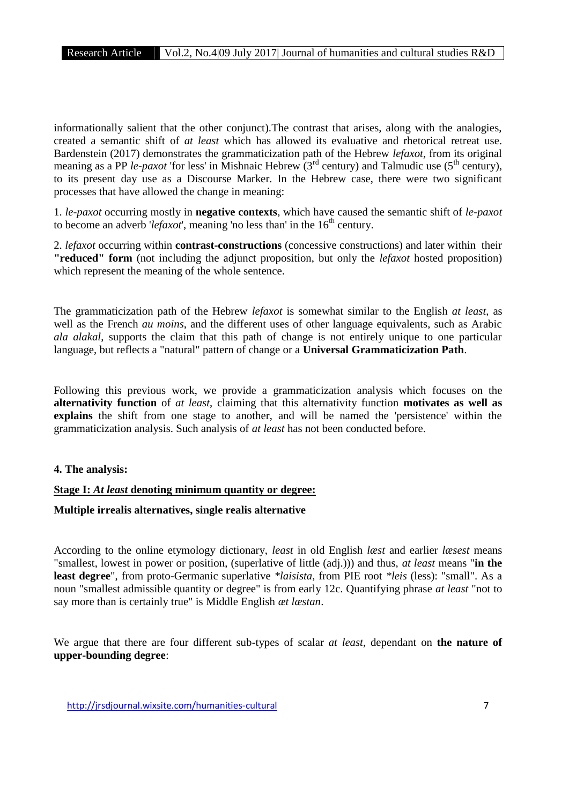informationally salient that the other conjunct).The contrast that arises, along with the analogies, created a semantic shift of *at least* which has allowed its evaluative and rhetorical retreat use. Bardenstein (2017) demonstrates the grammaticization path of the Hebrew *lefaxot*, from its original meaning as a PP  $le$ -paxot 'for less' in Mishnaic Hebrew  $\overrightarrow{3}^{rd}$  century) and Talmudic use (5<sup>th</sup> century), to its present day use as a Discourse Marker. In the Hebrew case, there were two significant processes that have allowed the change in meaning:

1. *le-paxot* occurring mostly in **negative contexts**, which have caused the semantic shift of *le-paxot* to become an adverb *'lefaxot*', meaning 'no less than' in the 16<sup>th</sup> century.

2. *lefaxot* occurring within **contrast-constructions** (concessive constructions) and later within their **"reduced" form** (not including the adjunct proposition, but only the *lefaxot* hosted proposition) which represent the meaning of the whole sentence.

The grammaticization path of the Hebrew *lefaxot* is somewhat similar to the English *at least*, as well as the French *au moins*, and the different uses of other language equivalents, such as Arabic *ala alakal*, supports the claim that this path of change is not entirely unique to one particular language, but reflects a "natural" pattern of change or a **Universal Grammaticization Path**.

Following this previous work, we provide a grammaticization analysis which focuses on the **alternativity function** of *at least*, claiming that this alternativity function **motivates as well as explains** the shift from one stage to another, and will be named the 'persistence' within the grammaticization analysis. Such analysis of *at least* has not been conducted before.

## **4. The analysis:**

## **Stage I:** *At least* **denoting minimum quantity or degree:**

#### **Multiple irrealis alternatives, single realis alternative**

According to the online etymology dictionary, *least* in old English *læst* and earlier *læsest* means "smallest, lowest in power or position, (superlative of little (adj.))) and thus, *at least* means "**in the least degree**", from proto-Germanic superlative *\*laisista*, from PIE root *\*leis* (less): "small". As a noun "smallest admissible quantity or degree" is from early 12c. Quantifying phrase *at least* "not to say more than is certainly true" is Middle English *æt læstan*.

We argue that there are four different sub-types of scalar *at least*, dependant on **the nature of upper-bounding degree**: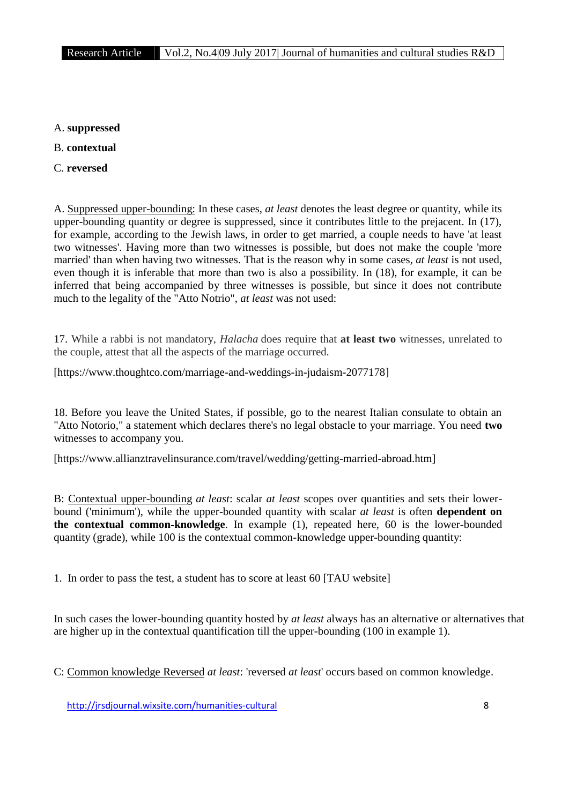- A. **suppressed**
- B. **contextual**
- C. **reversed**

A. Suppressed upper-bounding: In these cases, *at least* denotes the least degree or quantity, while its upper-bounding quantity or degree is suppressed, since it contributes little to the prejacent. In (17), for example, according to the Jewish laws, in order to get married, a couple needs to have 'at least two witnesses'. Having more than two witnesses is possible, but does not make the couple 'more married' than when having two witnesses. That is the reason why in some cases*, at least* is not used, even though it is inferable that more than two is also a possibility. In (18), for example, it can be inferred that being accompanied by three witnesses is possible, but since it does not contribute much to the legality of the "Atto Notrio", *at least* was not used:

17. While a rabbi is not mandatory, *Halacha* does require that **at least two** witnesses, unrelated to the couple, attest that all the aspects of the marriage occurred.

[https://www.thoughtco.com/marriage-and-weddings-in-judaism-2077178]

18. Before you leave the United States, if possible, go to the nearest Italian consulate to obtain an "Atto Notorio," a statement which declares there's no legal obstacle to your marriage. You need **two** witnesses to accompany you.

[https://www.allianztravelinsurance.com/travel/wedding/getting-married-abroad.htm]

B: Contextual upper-bounding *at least*: scalar *at least* scopes over quantities and sets their lower bound ('minimum'), while the upper-bounded quantity with scalar *at least* is often **dependent on the contextual common-knowledge**. In example (1), repeated here, 60 is the lower-bounded quantity (grade), while 100 is the contextual common-knowledge upper-bounding quantity:

1. In order to pass the test, a student has to score at least 60 [TAU website]

In such cases the lower-bounding quantity hosted by *at least* always has an alternative or alternatives that are higher up in the contextual quantification till the upper-bounding (100 in example 1).

C: Common knowledge Reversed *at least*: 'reversed *at least*' occurs based on common knowledge.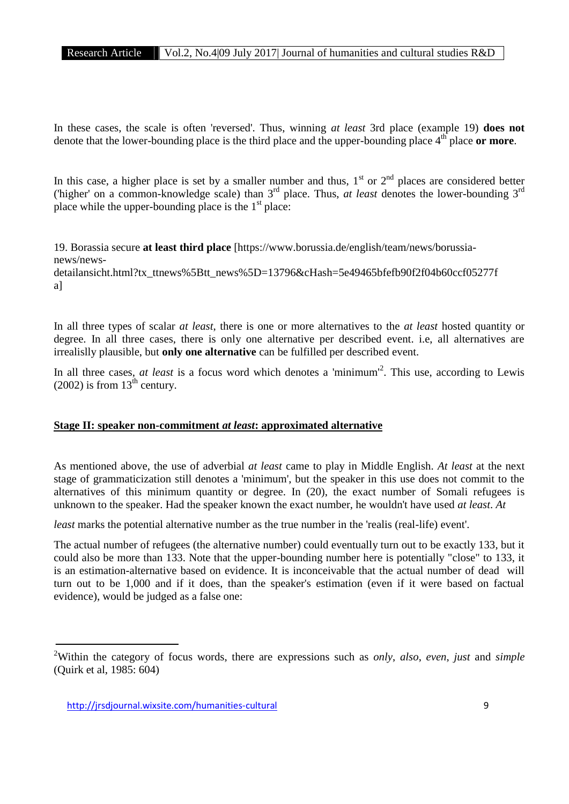In these cases, the scale is often 'reversed'. Thus, winning *at least* 3rd place (example 19) **does not** denote that the lower-bounding place is the third place and the upper-bounding place  $4<sup>th</sup>$  place or more.

In this case, a higher place is set by a smaller number and thus,  $1<sup>st</sup>$  or  $2<sup>nd</sup>$  places are considered better ('higher' on a common-knowledge scale) than 3rd place. Thus, *at least* denotes the lower-bounding 3rd place while the upper-bounding place is the  $1<sup>st</sup>$  place:

19. Borassia secure **at least third place** [https://www.borussia.de/english/team/news/borussia news/news detailansicht.html?tx\_ttnews%5Btt\_news%5D=13796&cHash=5e49465bfefb90f2f04b60ccf05277f a]

In all three types of scalar *at least*, there is one or more alternatives to the *at least* hosted quantity or degree. In all three cases, there is only one alternative per described event. i.e, all alternatives are irrealislly plausible, but **only one alternative** can be fulfilled per described event.

In all three cases, *at least* is a focus word which denotes a 'minimum'<sup>2</sup> . This use, according to Lewis  $(2002)$  is from  $13<sup>th</sup>$  century.

#### **Stage II: speaker non-commitment** *at least***: approximated alternative**

As mentioned above, the use of adverbial *at least* came to play in Middle English. *At least* at the next stage of grammaticization still denotes a 'minimum', but the speaker in this use does not commit to the alternatives of this minimum quantity or degree. In (20), the exact number of Somali refugees is unknown to the speaker. Had the speaker known the exact number, he wouldn't have used *at least*. *At*

*least* marks the potential alternative number as the true number in the 'realis (real-life) event'.

The actual number of refugees (the alternative number) could eventually turn out to be exactly 133, but it could also be more than 133. Note that the upper-bounding number here is potentially "close" to 133, it is an estimation-alternative based on evidence. It is inconceivable that the actual number of dead will turn out to be 1,000 and if it does, than the speaker's estimation (even if it were based on factual evidence), would be judged as a false one:

<sup>2</sup>Within the category of focus words, there are expressions such as *only*, *also*, *even*, *just* and *simple* (Quirk et al, 1985: 604)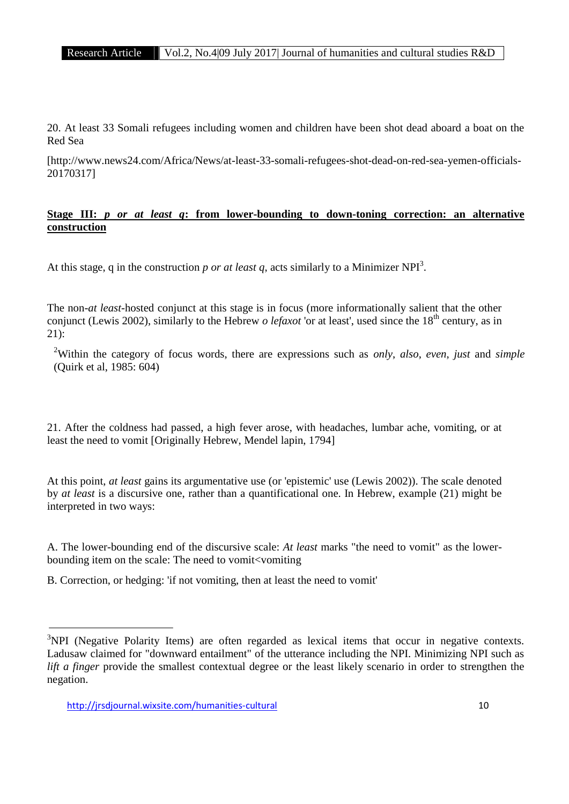20. At least 33 Somali refugees including women and children have been shot dead aboard a boat on the Red Sea

[http://www.news24.com/Africa/News/at-least-33-somali-refugees-shot-dead-on-red-sea-yemen-officials- 20170317]

## **Stage III:** *p or at least q***: from lower-bounding to down-toning correction: an alternative construction**

At this stage, q in the construction *p or at least q*, acts similarly to a Minimizer NPI<sup>3</sup>.

The non-*at least*-hosted conjunct at this stage is in focus (more informationally salient that the other conjunct (Lewis 2002), similarly to the Hebrew *o lefaxot* 'or at least', used since the 18<sup>th</sup> century, as in  $21$ :

<sup>2</sup>Within the category of focus words, there are expressions such as *only*, *also*, *even*, *just* and *simple* (Quirk et al, 1985: 604)

21. After the coldness had passed, a high fever arose, with headaches, lumbar ache, vomiting, or at least the need to vomit [Originally Hebrew, Mendel lapin, 1794]

At this point, *at least* gains its argumentative use (or 'epistemic' use (Lewis 2002)). The scale denoted by *at least* is a discursive one, rather than a quantificational one. In Hebrew, example (21) might be interpreted in two ways:

A. The lower-bounding end of the discursive scale: *At least* marks "the need to vomit" as the lower bounding item on the scale: The need to vomit<vomiting

B. Correction, or hedging: 'if not vomiting, then at least the need to vomit'

 $3$ NPI (Negative Polarity Items) are often regarded as lexical items that occur in negative contexts. Ladusaw claimed for "downward entailment" of the utterance including the NPI. Minimizing NPI such as *lift a finger* provide the smallest contextual degree or the least likely scenario in order to strengthen the negation.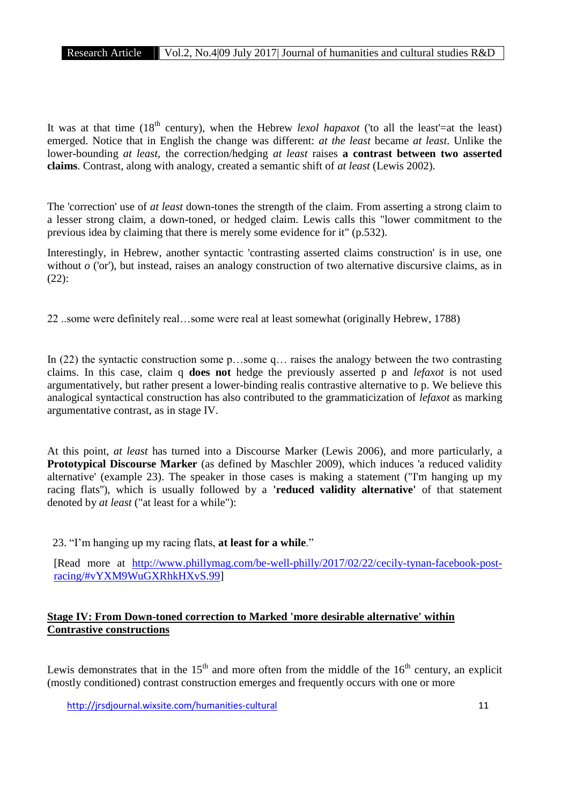It was at that time  $(18<sup>th</sup>$  century), when the Hebrew *lexol hapaxot* ('to all the least'=at the least) emerged. Notice that in English the change was different: *at the least* became *at least*. Unlike the lower-bounding *at least*, the correction/hedging *at least* raises **a contrast between two asserted claims**. Contrast, along with analogy, created a semantic shift of *at least* (Lewis 2002).

The 'correction' use of *at least* down-tones the strength of the claim. From asserting a strong claim to a lesser strong claim, a down-toned, or hedged claim. Lewis calls this "lower commitment to the previous idea by claiming that there is merely some evidence for it" (p.532).

Interestingly, in Hebrew, another syntactic 'contrasting asserted claims construction' is in use, one without  $o$  ('or'), but instead, raises an analogy construction of two alternative discursive claims, as in (22):

22 ..some were definitely real…some were real at least somewhat (originally Hebrew, 1788)

In (22) the syntactic construction some p…some q… raises the analogy between the two contrasting claims. In this case, claim q **does not** hedge the previously asserted p and *lefaxot* is not used argumentatively, but rather present a lower-binding realis contrastive alternative to p. We believe this analogical syntactical construction has also contributed to the grammaticization of *lefaxot* as marking argumentative contrast, as in stage IV.

At this point, *at least* has turned into a Discourse Marker (Lewis 2006), and more particularly, a **Prototypical Discourse Marker** (as defined by Maschler 2009), which induces 'a reduced validity alternative' (example 23). The speaker in those cases is making a statement ("I'm hanging up my racing flats''), which is usually followed by a **'reduced validity alternative'** of that statement denoted by *at least* ("at least for a while"):

23. "I'm hanging up my racing flats, **at least for a while**."

[Read more at http://www.phillymag.com/be-well-philly/2017/02/22/cecily-tynan-facebook-postracing/#vYXM9WuGXRhkHXvS.99]

# **Stage IV: From Down-toned correction to Marked 'more desirable alternative' within Contrastive constructions**

Lewis demonstrates that in the  $15<sup>th</sup>$  and more often from the middle of the  $16<sup>th</sup>$  century, an explicit (mostly conditioned) contrast construction emerges and frequently occurs with one or more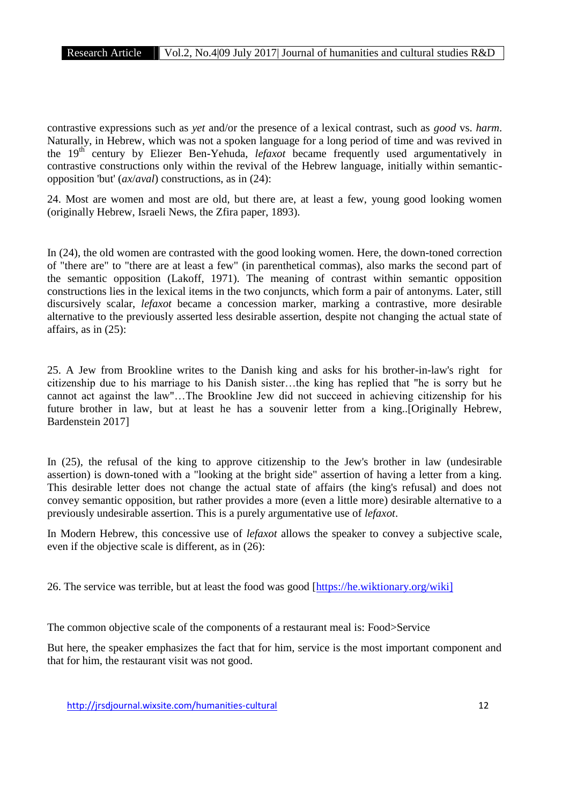contrastive expressions such as *yet* and/or the presence of a lexical contrast, such as *good* vs. *harm*. Naturally, in Hebrew, which was not a spoken language for a long period of time and was revived in the 19<sup>th</sup> century by Eliezer Ben-Yehuda, *lefaxot* became frequently used argumentatively in contrastive constructions only within the revival of the Hebrew language, initially within semantic opposition 'but' (*ax*/*aval*) constructions, as in (24):

24. Most are women and most are old, but there are, at least a few, young good looking women (originally Hebrew, Israeli News, the Zfira paper, 1893).

In (24), the old women are contrasted with the good looking women. Here, the down-toned correction of "there are" to "there are at least a few" (in parenthetical commas), also marks the second part of the semantic opposition (Lakoff, 1971). The meaning of contrast within semantic opposition constructions lies in the lexical items in the two conjuncts, which form a pair of antonyms. Later, still discursively scalar, *lefaxot* became a concession marker, marking a contrastive, more desirable alternative to the previously asserted less desirable assertion, despite not changing the actual state of affairs, as in (25):

25. A Jew from Brookline writes to the Danish king and asks for his brother-in-law's right for citizenship due to his marriage to his Danish sister…the king has replied that "he is sorry but he cannot act against the law"…The Brookline Jew did not succeed in achieving citizenship for his future brother in law, but at least he has a souvenir letter from a king..[Originally Hebrew, Bardenstein 2017]

In (25), the refusal of the king to approve citizenship to the Jew's brother in law (undesirable assertion) is down-toned with a "looking at the bright side" assertion of having a letter from a king. This desirable letter does not change the actual state of affairs (the king's refusal) and does not convey semantic opposition, but rather provides a more (even a little more) desirable alternative to a previously undesirable assertion. This is a purely argumentative use of *lefaxot*.

In Modern Hebrew, this concessive use of *lefaxot* allows the speaker to convey a subjective scale, even if the objective scale is different, as in (26):

26. The service was terrible, but at least the food was good [https://he.wiktionary.org/wiki]

The common objective scale of the components of a restaurant meal is: Food>Service

But here, the speaker emphasizes the fact that for him, service is the most important component and that for him, the restaurant visit was not good.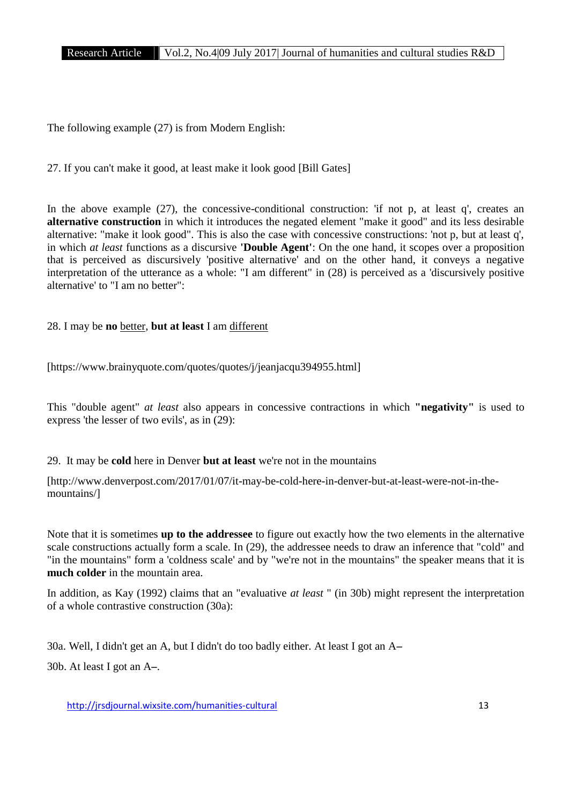The following example (27) is from Modern English:

27. If you can't make it good, at least make it look good [Bill Gates]

In the above example (27), the concessive-conditional construction: 'if not p, at least q', creates an **alternative construction** in which it introduces the negated element "make it good" and its less desirable alternative: "make it look good". This is also the case with concessive constructions: 'not p, but at least q', in which *at least* functions as a discursive **'Double Agent'**: On the one hand, it scopes over a proposition that is perceived as discursively 'positive alternative' and on the other hand, it conveys a negative interpretation of the utterance as a whole: "I am different" in (28) is perceived as a 'discursively positive alternative' to "I am no better":

28. I may be **no** better, **but at least** I am different

[https://www.brainyquote.com/quotes/quotes/j/jeanjacqu394955.html]

This "double agent" *at least* also appears in concessive contractions in which **"negativity"** is used to express 'the lesser of two evils', as in (29):

29. It may be **cold** here in Denver **but at least** we're not in the mountains

[http://www.denverpost.com/2017/01/07/it-may-be-cold-here-in-denver-but-at-least-were-not-in-the mountains/]

Note that it is sometimes **up to the addressee** to figure out exactly how the two elements in the alternative scale constructions actually form a scale. In (29), the addressee needs to draw an inference that "cold" and "in the mountains" form a 'coldness scale' and by "we're not in the mountains" the speaker means that it is **much colder** in the mountain area.

In addition, as Kay (1992) claims that an "evaluative *at least* " (in 30b) might represent the interpretation of a whole contrastive construction (30a):

30a. Well, I didn't get an A, but I didn't do too badly either. At least I got an A**–**

30b. At least I got an A**–**.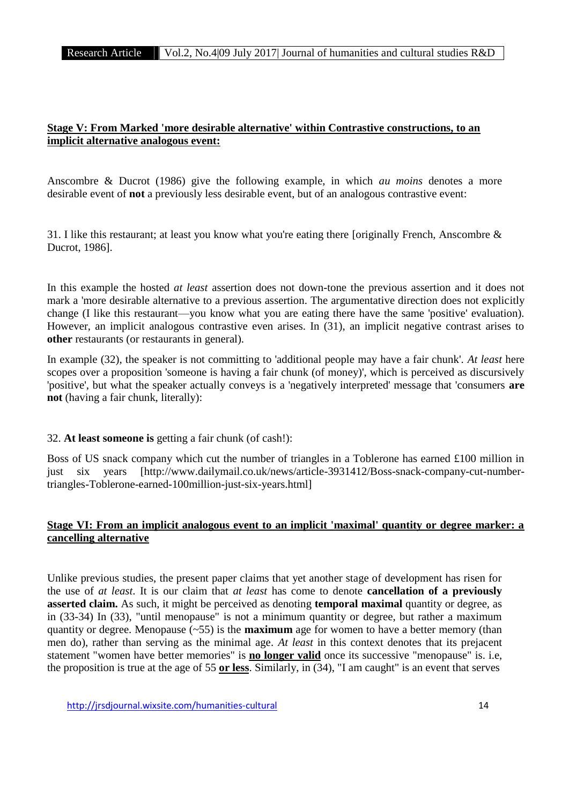# **Stage V: From Marked 'more desirable alternative' within Contrastive constructions, to an implicit alternative analogous event:**

Anscombre & Ducrot (1986) give the following example, in which *au moins* denotes a more desirable event of **not** a previously less desirable event, but of an analogous contrastive event:

31. I like this restaurant; at least you know what you're eating there [originally French, Anscombre & Ducrot, 1986].

In this example the hosted *at least* assertion does not down-tone the previous assertion and it does not mark a 'more desirable alternative to a previous assertion. The argumentative direction does not explicitly change (I like this restaurant—you know what you are eating there have the same 'positive' evaluation). However, an implicit analogous contrastive even arises. In (31), an implicit negative contrast arises to **other** restaurants (or restaurants in general).

In example (32), the speaker is not committing to 'additional people may have a fair chunk'. *At least* here scopes over a proposition 'someone is having a fair chunk (of money)', which is perceived as discursively 'positive', but what the speaker actually conveys is a 'negatively interpreted' message that 'consumers **are not** (having a fair chunk, literally):

## 32. **At least someone is** getting a fair chunk (of cash!):

Boss of US snack company which cut the number of triangles in a Toblerone has earned £100 million in just six years [http://www.dailymail.co.uk/news/article-3931412/Boss-snack-company-cut-numbertriangles-Toblerone-earned-100million-just-six-years.html]

# **Stage VI: From an implicit analogous event to an implicit 'maximal' quantity or degree marker: a cancelling alternative**

Unlike previous studies, the present paper claims that yet another stage of development has risen for the use of *at least*. It is our claim that *at least* has come to denote **cancellation of a previously asserted claim.** As such, it might be perceived as denoting **temporal maximal** quantity or degree, as in (33-34) In (33), "until menopause" is not a minimum quantity or degree, but rather a maximum quantity or degree. Menopause  $(-55)$  is the **maximum** age for women to have a better memory (than men do), rather than serving as the minimal age. *At least* in this context denotes that its prejacent statement "women have better memories" is **no longer valid** once its successive "menopause" is.i.e, the proposition is true at the age of 55 **or less**. Similarly, in (34), "I am caught" is an event that serves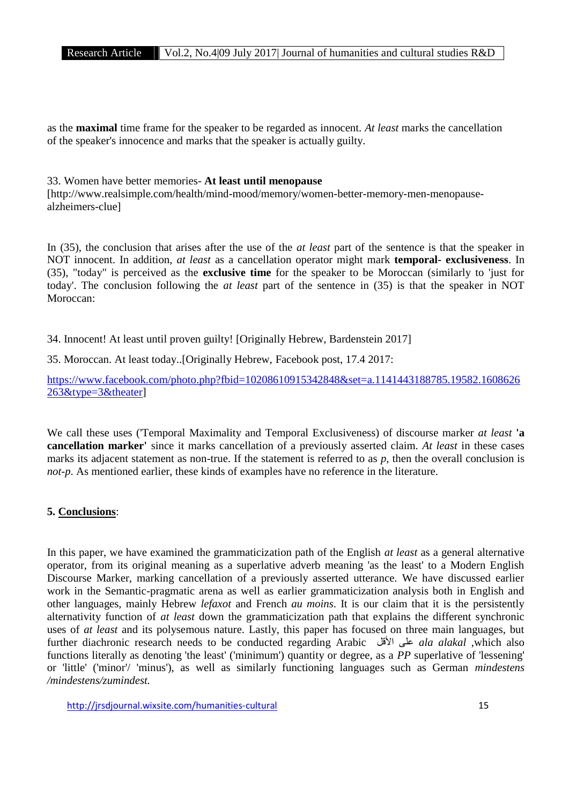as the **maximal** time frame for the speaker to be regarded as innocent. *At least* marks the cancellation of the speaker's innocence and marks that the speaker is actually guilty.

#### 33. Women have better memories- **At least until menopause**

[http://www.realsimple.com/health/mind-mood/memory/women-better-memory-men-menopause alzheimers-clue]

In (35), the conclusion that arises after the use of the *at least* part of the sentence is that the speaker in NOT innocent. In addition, *at least* as a cancellation operator might mark **temporal- exclusiveness**. In (35), "today" is perceived as the **exclusive time** for the speaker to be Moroccan (similarly to 'just for today'. The conclusion following the *at least* part of the sentence in (35) is that the speaker in NOT Moroccan:

34. Innocent! At least until proven guilty! [Originally Hebrew, Bardenstein 2017]

35. Moroccan. At least today..[Originally Hebrew, Facebook post, 17.4 2017:

https://www.facebook.com/photo.php?fbid=10208610915342848&set=a.1141443188785.19582.1608626 263&type=3&theater]

We call these uses ('Temporal Maximality and Temporal Exclusiveness) of discourse marker *at least* **'a cancellation marker'** since it marks cancellation of a previously asserted claim. *At least* in these cases marks its adjacent statement as non-true. If the statement is referred to as *p*, then the overall conclusion is *not-p*. As mentioned earlier, these kinds of examples have no reference in the literature.

# **5. Conclusions**:

In this paper, we have examined the grammaticization path of the English *at least* as a general alternative operator, from its original meaning as a superlative adverb meaning 'as the least' to a Modern English Discourse Marker, marking cancellation of a previously asserted utterance. We have discussed earlier work in the Semantic-pragmatic arena as well as earlier grammaticization analysis both in English and other languages, mainly Hebrew *lefaxot* and French *au moins*. It is our claim that it is the persistently alternativity function of *at least* down the grammaticization path that explains the different synchronic uses of *at least* and its polysemous nature. Lastly, this paper has focused on three main languages, but further diachronic research needs to be conducted regarding Arabic الأقل على *ala alakal* ,which also functions literally as denoting 'the least' ('minimum') quantity or degree, as a *PP* superlative of 'lessening' or 'little' ('minor'/ 'minus'), as well as similarly functioning languages such as German *mindestens /mindestens/zumindest.*